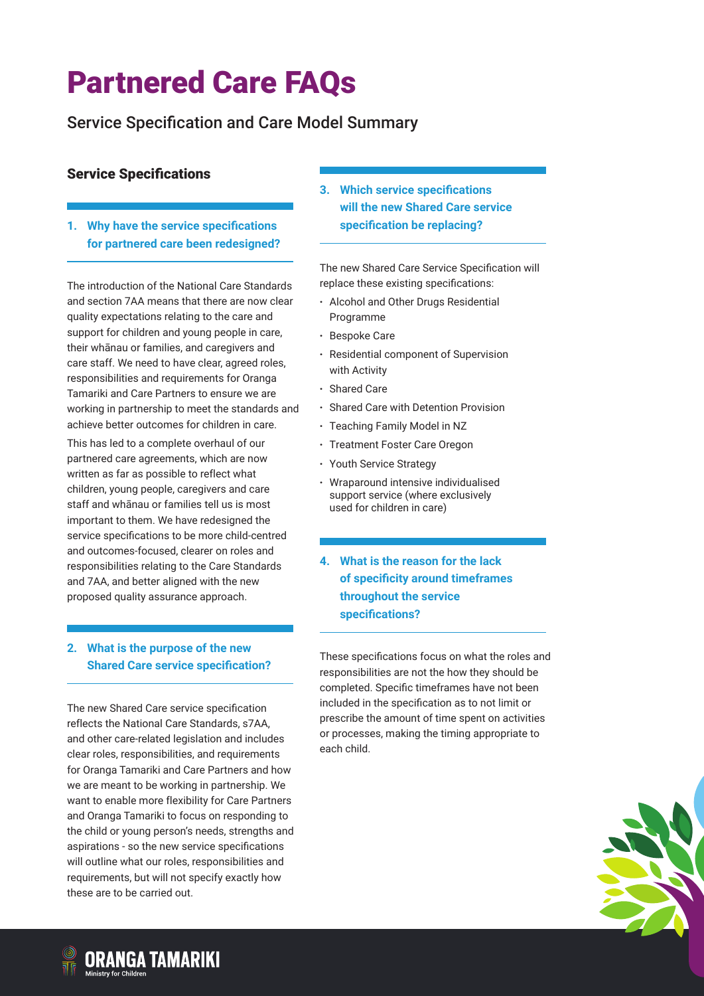## Service Specification and Care Model Summary

#### Service Specifications

**1. Why have the service specifications for partnered care been redesigned?**

The introduction of the National Care Standards and section 7AA means that there are now clear quality expectations relating to the care and support for children and young people in care, their whānau or families, and caregivers and care staff. We need to have clear, agreed roles, responsibilities and requirements for Oranga Tamariki and Care Partners to ensure we are working in partnership to meet the standards and achieve better outcomes for children in care.

This has led to a complete overhaul of our partnered care agreements, which are now written as far as possible to reflect what children, young people, caregivers and care staff and whānau or families tell us is most important to them. We have redesigned the service specifications to be more child-centred and outcomes-focused, clearer on roles and responsibilities relating to the Care Standards and 7AA, and better aligned with the new proposed quality assurance approach.

#### **2. What is the purpose of the new Shared Care service specification?**

The new Shared Care service specification reflects the National Care Standards, s7AA, and other care-related legislation and includes clear roles, responsibilities, and requirements for Oranga Tamariki and Care Partners and how we are meant to be working in partnership. We want to enable more flexibility for Care Partners and Oranga Tamariki to focus on responding to the child or young person's needs, strengths and aspirations - so the new service specifications will outline what our roles, responsibilities and requirements, but will not specify exactly how these are to be carried out.

**3. Which service specifications will the new Shared Care service specification be replacing?**

The new Shared Care Service Specification will replace these existing specifications:

- · Alcohol and Other Drugs Residential Programme
- · Bespoke Care
- Residential component of Supervision with Activity
- · Shared Care
- · Shared Care with Detention Provision
- · Teaching Family Model in NZ
- · Treatment Foster Care Oregon
- · Youth Service Strategy
- · Wraparound intensive individualised support service (where exclusively used for children in care)
- **4. What is the reason for the lack of specificity around timeframes throughout the service specifications?**

These specifications focus on what the roles and responsibilities are not the how they should be completed. Specific timeframes have not been included in the specification as to not limit or prescribe the amount of time spent on activities or processes, making the timing appropriate to each child.



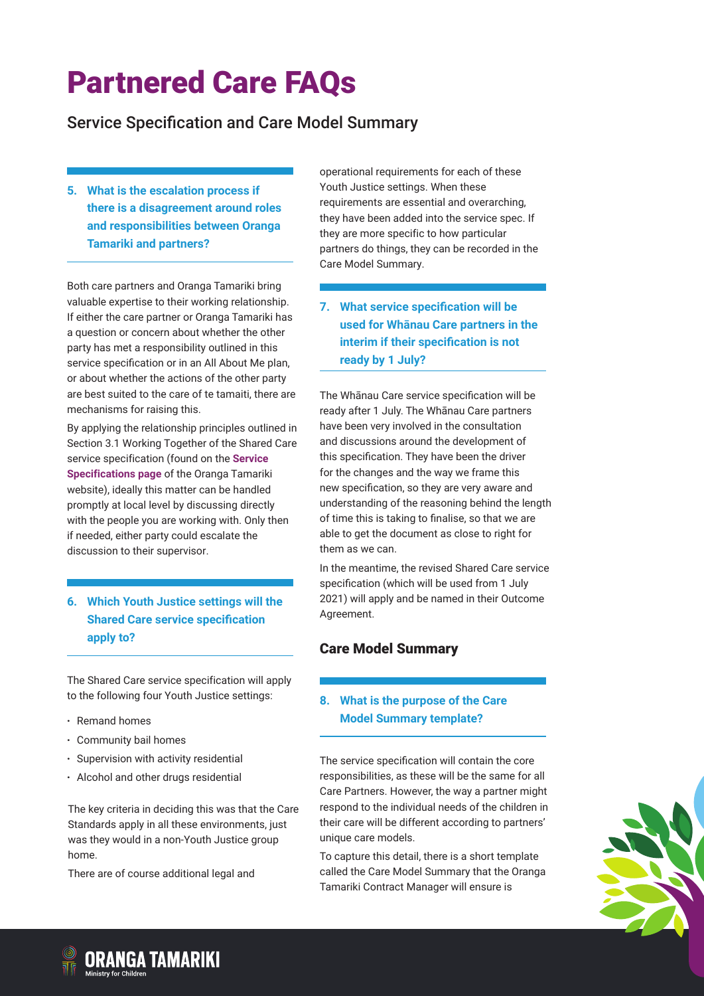### Service Specification and Care Model Summary

**5. What is the escalation process if there is a disagreement around roles and responsibilities between Oranga Tamariki and partners?**

Both care partners and Oranga Tamariki bring valuable expertise to their working relationship. If either the care partner or Oranga Tamariki has a question or concern about whether the other party has met a responsibility outlined in this service specification or in an All About Me plan, or about whether the actions of the other party are best suited to the care of te tamaiti, there are mechanisms for raising this.

By applying the relationship principles outlined in Section 3.1 Working Together of the Shared Care service specification (found on the **[Service](https://orangatamariki.govt.nz/working-with-children/information-for-providers/partnered-care/service-specifications-and-care-model-summary)  [Specifications page](https://orangatamariki.govt.nz/working-with-children/information-for-providers/partnered-care/service-specifications-and-care-model-summary)** of the Oranga Tamariki website), ideally this matter can be handled promptly at local level by discussing directly with the people you are working with. Only then if needed, either party could escalate the discussion to their supervisor.

#### **6. Which Youth Justice settings will the Shared Care service specification apply to?**

The Shared Care service specification will apply to the following four Youth Justice settings:

- · Remand homes
- · Community bail homes
- · Supervision with activity residential
- · Alcohol and other drugs residential

The key criteria in deciding this was that the Care Standards apply in all these environments, just was they would in a non-Youth Justice group home.

There are of course additional legal and

operational requirements for each of these Youth Justice settings. When these requirements are essential and overarching, they have been added into the service spec. If they are more specific to how particular partners do things, they can be recorded in the Care Model Summary.

**7. What service specification will be used for Whānau Care partners in the interim if their specification is not ready by 1 July?**

The Whānau Care service specification will be ready after 1 July. The Whānau Care partners have been very involved in the consultation and discussions around the development of this specification. They have been the driver for the changes and the way we frame this new specification, so they are very aware and understanding of the reasoning behind the length of time this is taking to finalise, so that we are able to get the document as close to right for them as we can.

In the meantime, the revised Shared Care service specification (which will be used from 1 July 2021) will apply and be named in their Outcome Agreement.

### Care Model Summary

#### **8. What is the purpose of the Care Model Summary template?**

The service specification will contain the core responsibilities, as these will be the same for all Care Partners. However, the way a partner might respond to the individual needs of the children in their care will be different according to partners' unique care models.

To capture this detail, there is a short template called the Care Model Summary that the Oranga Tamariki Contract Manager will ensure is



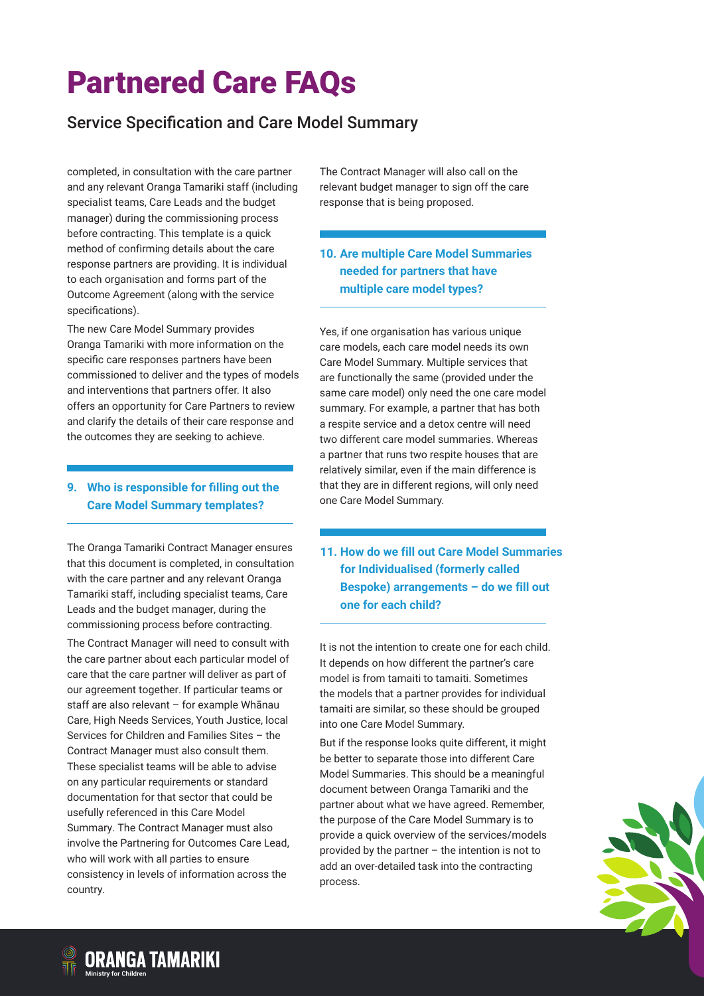## Service Specification and Care Model Summary

completed, in consultation with the care partner and any relevant Oranga Tamariki staff (including specialist teams, Care Leads and the budget manager) during the commissioning process before contracting. This template is a quick method of confirming details about the care response partners are providing. It is individual to each organisation and forms part of the Outcome Agreement (along with the service specifications).

The new Care Model Summary provides Oranga Tamariki with more information on the specific care responses partners have been commissioned to deliver and the types of models and interventions that partners offer. It also offers an opportunity for Care Partners to review and clarify the details of their care response and the outcomes they are seeking to achieve.

#### **9. Who is responsible for filling out the Care Model Summary templates?**

The Oranga Tamariki Contract Manager ensures that this document is completed, in consultation with the care partner and any relevant Oranga Tamariki staff, including specialist teams, Care Leads and the budget manager, during the commissioning process before contracting.

The Contract Manager will need to consult with the care partner about each particular model of care that the care partner will deliver as part of our agreement together. If particular teams or staff are also relevant – for example Whānau Care, High Needs Services, Youth Justice, local Services for Children and Families Sites – the Contract Manager must also consult them. These specialist teams will be able to advise on any particular requirements or standard documentation for that sector that could be usefully referenced in this Care Model Summary. The Contract Manager must also involve the Partnering for Outcomes Care Lead, who will work with all parties to ensure consistency in levels of information across the country.

The Contract Manager will also call on the relevant budget manager to sign off the care response that is being proposed.

#### **10. Are multiple Care Model Summaries needed for partners that have multiple care model types?**

Yes, if one organisation has various unique care models, each care model needs its own Care Model Summary. Multiple services that are functionally the same (provided under the same care model) only need the one care model summary. For example, a partner that has both a respite service and a detox centre will need two different care model summaries. Whereas a partner that runs two respite houses that are relatively similar, even if the main difference is that they are in different regions, will only need one Care Model Summary.

**11. How do we fill out Care Model Summaries for Individualised (formerly called Bespoke) arrangements – do we fill out one for each child?**

It is not the intention to create one for each child. It depends on how different the partner's care model is from tamaiti to tamaiti. Sometimes the models that a partner provides for individual tamaiti are similar, so these should be grouped into one Care Model Summary.

But if the response looks quite different, it might be better to separate those into different Care Model Summaries. This should be a meaningful document between Oranga Tamariki and the partner about what we have agreed. Remember, the purpose of the Care Model Summary is to provide a quick overview of the services/models provided by the partner – the intention is not to add an over-detailed task into the contracting process.